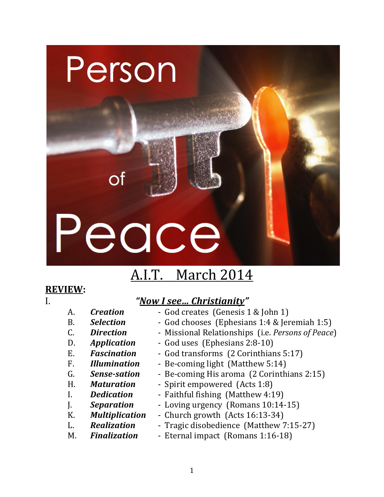# Peace

Person

Оt

## A.I.T. March 2014

## **REVIEW:**

## I. *"Now I see... Christianity"*

- 
- A. *Creation* God creates (Genesis 1 & John 1)
- B. **Selection** God chooses (Ephesians 1:4 & Jeremiah 1:5)
- C. **Direction** Missional Relationships (i.e. *Persons of Peace*)
- D. *Application* God uses (Ephesians 2:8-10)
- E. **Fascination** God transforms (2 Corinthians 5:17)
- F. *Illumination* Be-coming light (Matthew 5:14)
- G. **Sense-sation** Be-coming His aroma (2 Corinthians 2:15)
- H. **Maturation** Spirit empowered (Acts 1:8)
- I. **Dedication** Faithful fishing (Matthew 4:19)
- 
- 
- 
- 
- **J. Separation** Loving urgency (Romans 10:14-15)
- K. *Multiplication* Church growth (Acts 16:13-34)
- L. **Realization** Tragic disobedience (Matthew 7:15-27)
- M. **Finalization** Eternal impact (Romans 1:16-18)
	-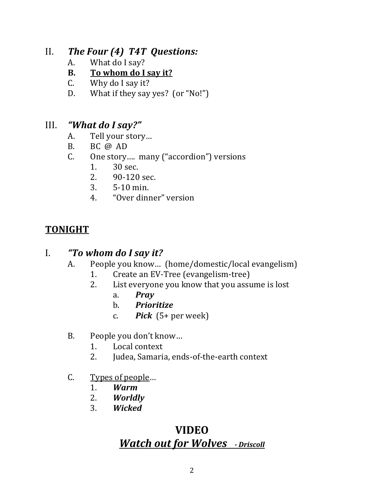## II. *The Four* (4) **T4T** Questions:

- A. What do I say?
- **B.** To whom do I say it?
- C. Why do I say it?
- D. What if they say yes?  $(or "No!")$

## III. *"What do I say?"*

- A. Tell your story...
- B. BC $\omega$ AD
- C. One story.... many ("accordion") versions
	- 1. 30 sec.
	- 2. 90-120 sec.<br>3. 5-10 min.
	- 3. 5-10 min.
	- 4. "Over dinner" version

## **TONIGHT**

## I. *"To whom do I say it?*

- A. People you know... (home/domestic/local evangelism)
	- 1. Create an EV-Tree (evangelism-tree)
	- 2. List everyone you know that you assume is lost
		- a. *Pray*
		- b. *Prioritize*
		- c. *Pick*  $(5+$  per week)
- B. People you don't know...
	- 1. Local context
	- 2. **Judea, Samaria, ends-of-the-earth context**
- C. Types of people...
	- 1. *Warm*
	- 2. *Worldly*
	- 3. *Wicked*

## **VIDEO Watch out for Wolves** - Driscoll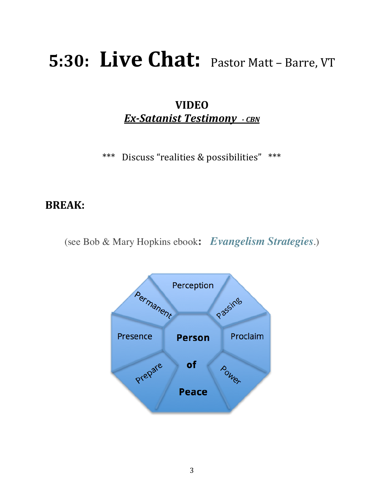## **5:30: Live Chat:** Pastor Matt – Barre, VT

**VIDEO** *Ex-Satanist Testimony*  $-c$ *BN* 

\*\*\* Discuss "realities & possibilities" \*\*\*

## **BREAK:**

(see Bob & Mary Hopkins ebook**:** *Evangelism Strategies*.)

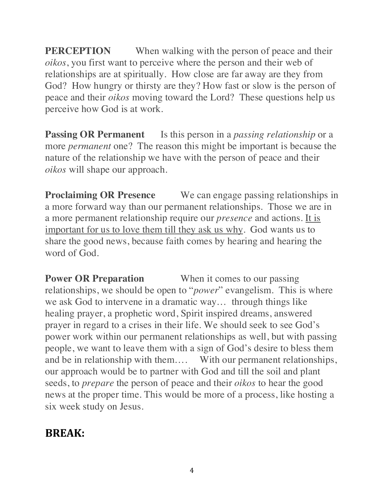**PERCEPTION** When walking with the person of peace and their *oikos*, you first want to perceive where the person and their web of relationships are at spiritually. How close are far away are they from God? How hungry or thirsty are they? How fast or slow is the person of peace and their *oikos* moving toward the Lord? These questions help us perceive how God is at work.

**Passing OR Permanent** Is this person in a *passing relationship* or a more *permanent* one? The reason this might be important is because the nature of the relationship we have with the person of peace and their *oikos* will shape our approach.

**Proclaiming OR Presence** We can engage passing relationships in a more forward way than our permanent relationships. Those we are in a more permanent relationship require our *presence* and actions. It is important for us to love them till they ask us why. God wants us to share the good news, because faith comes by hearing and hearing the word of God.

**Power OR Preparation** When it comes to our passing relationships, we should be open to "*power*" evangelism. This is where we ask God to intervene in a dramatic way… through things like healing prayer, a prophetic word, Spirit inspired dreams, answered prayer in regard to a crises in their life. We should seek to see God's power work within our permanent relationships as well, but with passing people, we want to leave them with a sign of God's desire to bless them and be in relationship with them…. With our permanent relationships, our approach would be to partner with God and till the soil and plant seeds, to *prepare* the person of peace and their *oikos* to hear the good news at the proper time. This would be more of a process, like hosting a six week study on Jesus.

## **BREAK:**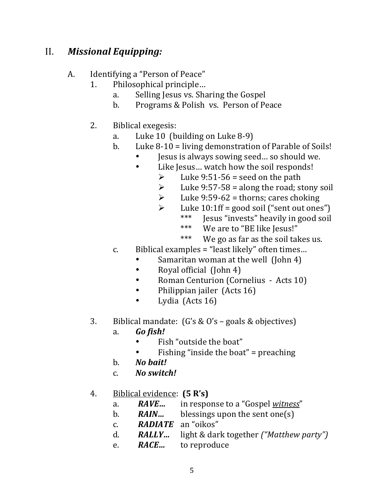## II. **Missional Equipping:**

### A. Identifying a "Person of Peace"

- 1. Philosophical principle...
	- a. Selling Jesus vs. Sharing the Gospel
	- b. Programs & Polish vs. Person of Peace
- 2. Biblical exegesis:
	- a. Luke  $10 \text{ (building on Luke } 8-9)$
	- b. Luke  $8-10 =$  living demonstration of Parable of Soils!
		- Jesus is always sowing seed... so should we.
			- Like Jesus... watch how the soil responds!
				- $\geq$  Luke 9:51-56 = seed on the path
				- $\geq$  Luke 9:57-58 = along the road; stony soil
				- $\blacktriangleright$  Luke 9:59-62 = thorns; cares choking
					- $\triangleright$  Luke 10:1ff = good soil ("sent out ones")
						- \*\*\* **Jesus "invests"** heavily in good soil
						- \*\*\* We are to "BE like Jesus!"
						- \*\*\* We go as far as the soil takes us.
	- c. Biblical examples  $=$  "least likely" often times...
		- Samaritan woman at the well (John 4)
		- Royal official (John 4)
		- Roman Centurion (Cornelius Acts 10)
		- Philippian jailer (Acts 16)
		- Lydia (Acts 16)
- 3. Biblical mandate:  $(G's & 0's goals & 0'$  bjectives)
	- a. *Go fish!*
		- Fish "outside the boat"
		- Fishing "inside the boat" = preaching
	- b. **No bait!**
	- c. *No switch!*

## 4. Biblical evidence: **(5 R's)**

- a. **RAVE...** in response to a "Gospel witness"
- b. **RAIN...** blessings upon the sent one(s)
- c. **RADIATE** an "oikos"
- d. *RALLY…* light & dark together *("Matthew party")*
- e. **RACE...** to reproduce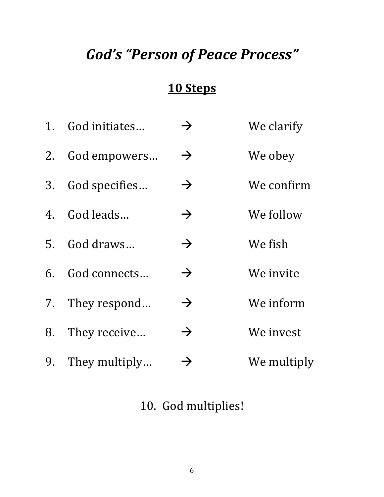## God's "Person of Peace Process"

## **10 Steps**

|    | 1. God initiates | $\rightarrow$ | We clarify  |
|----|------------------|---------------|-------------|
|    | 2. God empowers  | $\rightarrow$ | We obey     |
| 3. | God specifies    | $\rightarrow$ | We confirm  |
|    | 4. God leads     | $\rightarrow$ | We follow   |
|    | 5. God draws     | $\rightarrow$ | We fish     |
|    | 6. God connects  | $\rightarrow$ | We invite   |
| 7. | They respond     | $\rightarrow$ | We inform   |
| 8. | They receive     | $\rightarrow$ | We invest   |
| 9. | They multiply    | $\rightarrow$ | We multiply |

## 10. God multiplies!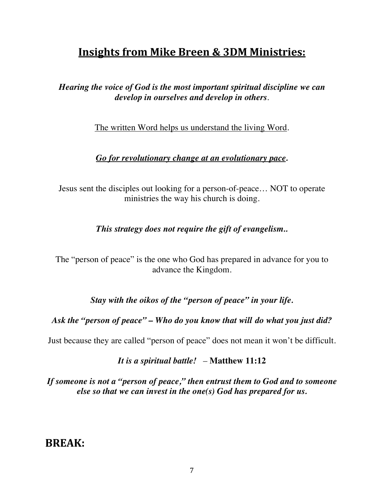## **Insights from Mike Breen & 3DM Ministries:**

### *Hearing the voice of God is the most important spiritual discipline we can develop in ourselves and develop in others*.

The written Word helps us understand the living Word.

#### *Go for revolutionary change at an evolutionary pace.*

Jesus sent the disciples out looking for a person-of-peace… NOT to operate ministries the way his church is doing.

#### *This strategy does not require the gift of evangelism..*

The "person of peace" is the one who God has prepared in advance for you to advance the Kingdom.

*Stay with the oikos of the "person of peace" in your life.*

#### *Ask the "person of peace" – Who do you know that will do what you just did?*

Just because they are called "person of peace" does not mean it won't be difficult.

#### *It is a spiritual battle!* – **Matthew 11:12**

*If someone is not a "person of peace," then entrust them to God and to someone else so that we can invest in the one(s) God has prepared for us.*

## **BREAK:**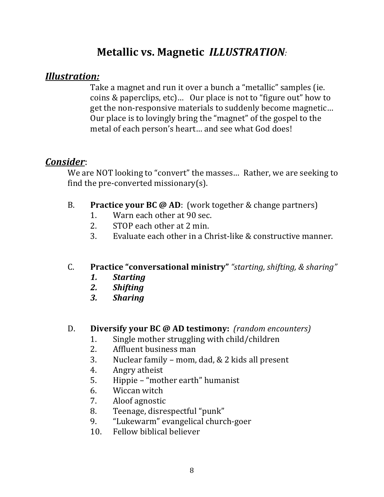## **Metallic vs. Magnetic** *ILLUSTRATION*

## *Illustration:*

Take a magnet and run it over a bunch a "metallic" samples (ie. coins  $&$  paperclips, etc)... Our place is not to "figure out" how to get the non-responsive materials to suddenly become magnetic... Our place is to lovingly bring the "magnet" of the gospel to the metal of each person's heart... and see what God does!

## *Consider*:

We are NOT looking to "convert" the masses... Rather, we are seeking to find the pre-converted missionary(s).

- B. **Practice your BC @ AD**: (work together & change partners)
	- 1. Warn each other at 90 sec.
	- 2. STOP each other at 2 min.
	- 3. Evaluate each other in a Christ-like  $&$  constructive manner.

## C. **Practice "conversational ministry"** "starting, shifting, & sharing"

- *1. Starting*
- *2. Shifting*
- *3. Sharing*

## D. **Diversify your BC @ AD testimony:** (random encounters)

- 1. Single mother struggling with child/children
- 2. Affluent business man
- 3. Nuclear family mom, dad,  $& 2$  kids all present
- 4. Angry atheist
- 5. Hippie "mother earth" humanist
- 6. Wiccan witch
- 7. Aloof agnostic
- 8. Teenage, disrespectful "punk"
- 9. "Lukewarm" evangelical church-goer
- 10. Fellow biblical believer